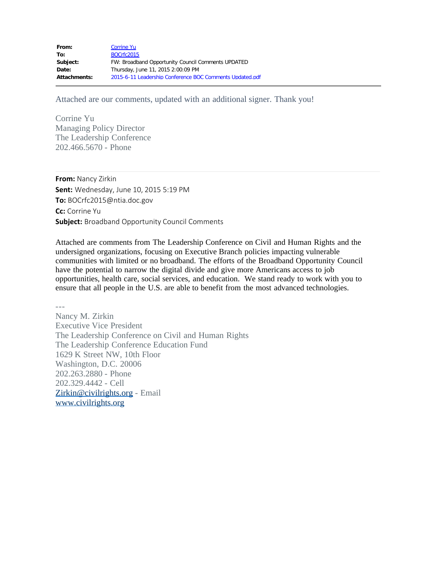| From:               | <b>Corrine Yu</b>                                        |
|---------------------|----------------------------------------------------------|
| To:                 | <b>BOCrfc2015</b>                                        |
| Subject:            | FW: Broadband Opportunity Council Comments UPDATED       |
| Date:               | Thursday, June 11, 2015 2:00:09 PM                       |
| <b>Attachments:</b> | 2015-6-11 Leadership Conference BOC Comments Updated.pdf |

Attached are our comments, updated with an additional signer. Thank you!

Corrine Yu Managing Policy Director The Leadership Conference 202.466.5670 - Phone

**From:** Nancy Zirkin **Sent:** Wednesday, June 10, 2015 5:19 PM **To:** BOCrfc2015@ntia.doc.gov **Cc:** Corrine Yu **Subject:** Broadband Opportunity Council Comments

Attached are comments from The Leadership Conference on Civil and Human Rights and the undersigned organizations, focusing on Executive Branch policies impacting vulnerable communities with limited or no broadband. The efforts of the Broadband Opportunity Council have the potential to narrow the digital divide and give more Americans access to job opportunities, health care, social services, and education. We stand ready to work with you to ensure that all people in the U.S. are able to benefit from the most advanced technologies.

--- Nancy M. Zirkin Executive Vice President The Leadership Conference on Civil and Human Rights The Leadership Conference Education Fund 1629 K Street NW, 10th Floor Washington, D.C. 20006 202.263.2880 - Phone 202.329.4442 - Cell [Zirkin@civilrights.org](mailto:Zirkin@civilrights.org) - Email [www.civilrights.org](http://www.civilrights.org/)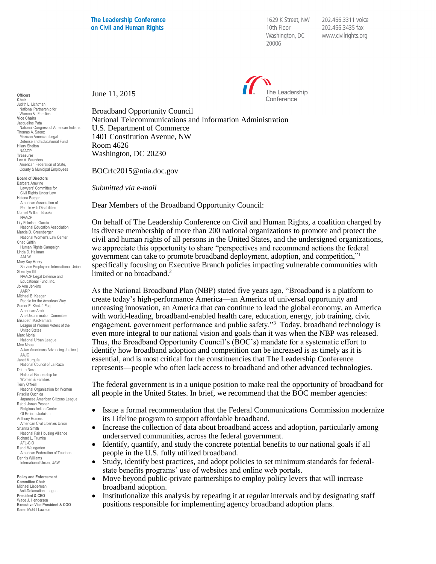1629 K Street, NW 10th Floor Washington, DC 20006

202.466.3311 voice 202.466.3435 fax www.civilrights.org



June 11, 2015

Broadband Opportunity Council National Telecommunications and Information Administration U.S. Department of Commerce 1401 Constitution Avenue, NW Room 4626 Washington, DC 20230

BOCrfc2015@ntia.doc.gov

*Submitted via e-mail*

Dear Members of the Broadband Opportunity Council:

On behalf of The Leadership Conference on Civil and Human Rights, a coalition charged by its diverse membership of more than 200 national organizations to promote and protect the civil and human rights of all persons in the United States, and the undersigned organizations, we appreciate this opportunity to share "perspectives and recommend actions the federal government can take to promote broadband deployment, adoption, and competition,"<sup>1</sup> specifically focusing on Executive Branch policies impacting vulnerable communities with limited or no broadband.<sup>2</sup>

As the National Broadband Plan (NBP) stated five years ago, "Broadband is a platform to create today's high-performance America—an America of universal opportunity and unceasing innovation, an America that can continue to lead the global economy, an America with world-leading, broadband-enabled health care, education, energy, job training, civic engagement, government performance and public safety."<sup>3</sup> Today, broadband technology is even more integral to our national vision and goals than it was when the NBP was released. Thus, the Broadband Opportunity Council's (BOC's) mandate for a systematic effort to identify how broadband adoption and competition can be increased is as timely as it is essential, and is most critical for the constituencies that The Leadership Conference represents—people who often lack access to broadband and other advanced technologies.

The federal government is in a unique position to make real the opportunity of broadband for all people in the United States. In brief, we recommend that the BOC member agencies:

- Issue a formal recommendation that the Federal Communications Commission modernize its Lifeline program to support affordable broadband.
- Increase the collection of data about broadband access and adoption, particularly among underserved communities, across the federal government.
- Identify, quantify, and study the concrete potential benefits to our national goals if all people in the U.S. fully utilized broadband.
- Study, identify best practices, and adopt policies to set minimum standards for federalstate benefits programs' use of websites and online web portals.
- Move beyond public-private partnerships to employ policy levers that will increase broadband adoption.
- Institutionalize this analysis by repeating it at regular intervals and by designating staff positions responsible for implementing agency broadband adoption plans.

**Officers Chair** Judith L. Lichtman National Partnership for Women & Families **Vice Chairs** Jacqueline Pata National Congress of American Indians Thomas A. Saenz Mexican American Legal Defense and Educational Fund Hilary Shelton NAACP **Treasurer** Lee A. Saunders American Federation of State, County & Municipal Employees

**Board of Directors** Barbara Arnwine Lawyers' Committee for Civil Rights Under Law Helena Berger American Association of People with Disabilities Cornell William Brooks NAACP Lily Eskelsen García National Education Association Marcia D. Greenberger National Women's Law Center Chad Griffin Human Rights Campaign Linda D. Hallman AAUW Mary Kay Henry Service Employees International Union Sherrilyn Ifill NAACP Legal Defense and Educational Fund, Inc. Jo Ann Jenkins AARP Michael B. Keegan People for the American Way Samer E. Khalaf, Esq. American-Arab Anti-Discrimination Committee Elisabeth MacNamara League of Women Voters of the United States Marc Morial National Urban League Mee Moua Asian Americans Advancing Justice | AAJC. Janet Murguía National Council of La Raza Debra Ness National Partnership for Women & Families Terry O'Neill National Organization for Women Priscilla Ouchida Japanese American Citizens League Rabbi Jonah Pesner Religious Action Center Of Reform Judaism Anthony Romero American Civil Liberties Union Shanna Smith National Fair Housing Alliance Richard L. Trumka AFL-CIO Randi Weingarten American Federation of Teachers Dennis Williams International Union, UAW

**Policy and Enforcement Committee Chair** Michael Lieberman Anti-Defamation League **President & CEO** .seasin a s⊑s<br>/ade J. Henderson **Executive Vice President & COO** Karen McGill Lawson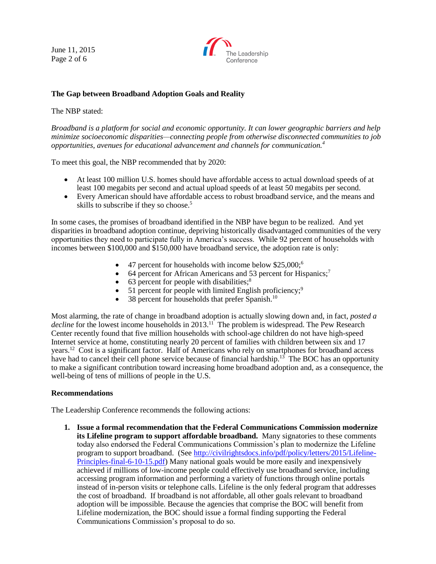June 11, 2015 Page 2 of 6



## **The Gap between Broadband Adoption Goals and Reality**

## The NBP stated:

*Broadband is a platform for social and economic opportunity. It can lower geographic barriers and help minimize socioeconomic disparities—connecting people from otherwise disconnected communities to job opportunities, avenues for educational advancement and channels for communication.<sup>4</sup>*

To meet this goal, the NBP recommended that by 2020:

- At least 100 million U.S. homes should have affordable access to actual download speeds of at least 100 megabits per second and actual upload speeds of at least 50 megabits per second.
- Every American should have affordable access to robust broadband service, and the means and skills to subscribe if they so choose.<sup>5</sup>

In some cases, the promises of broadband identified in the NBP have begun to be realized. And yet disparities in broadband adoption continue, depriving historically disadvantaged communities of the very opportunities they need to participate fully in America's success. While 92 percent of households with incomes between \$100,000 and \$150,000 have broadband service, the adoption rate is only:

- $\bullet$  47 percent for households with income below \$25,000;<sup>6</sup>
- $\bullet$  64 percent for African Americans and 53 percent for Hispanics;<sup>7</sup>
- $\bullet$  63 percent for people with disabilities;<sup>8</sup>
- $\bullet$  51 percent for people with limited English proficiency;<sup>9</sup>
- 38 percent for households that prefer Spanish.<sup>10</sup>

Most alarming, the rate of change in broadband adoption is actually slowing down and, in fact, *posted a*  decline for the lowest income households in 2013.<sup>11</sup> The problem is widespread. The Pew Research Center recently found that five million households with school-age children do not have high-speed Internet service at home, constituting nearly 20 percent of families with children between six and 17 years.<sup>12</sup> Cost is a significant factor. Half of Americans who rely on smartphones for broadband access have had to cancel their cell phone service because of financial hardship.<sup>13</sup> The BOC has an opportunity to make a significant contribution toward increasing home broadband adoption and, as a consequence, the well-being of tens of millions of people in the U.S.

## **Recommendations**

The Leadership Conference recommends the following actions:

**1. Issue a formal recommendation that the Federal Communications Commission modernize its Lifeline program to support affordable broadband.** Many signatories to these comments today also endorsed the Federal Communications Commission's plan to modernize the Lifeline program to support broadband. (See [http://civilrightsdocs.info/pdf/policy/letters/2015/Lifeline-](http://civilrightsdocs.info/pdf/policy/letters/2015/Lifeline-Principles-final-6-10-15.pdf)[Principles-final-6-10-15.pdf\)](http://civilrightsdocs.info/pdf/policy/letters/2015/Lifeline-Principles-final-6-10-15.pdf) Many national goals would be more easily and inexpensively achieved if millions of low-income people could effectively use broadband service, including accessing program information and performing a variety of functions through online portals instead of in-person visits or telephone calls. Lifeline is the only federal program that addresses the cost of broadband. If broadband is not affordable, all other goals relevant to broadband adoption will be impossible. Because the agencies that comprise the BOC will benefit from Lifeline modernization, the BOC should issue a formal finding supporting the Federal Communications Commission's proposal to do so.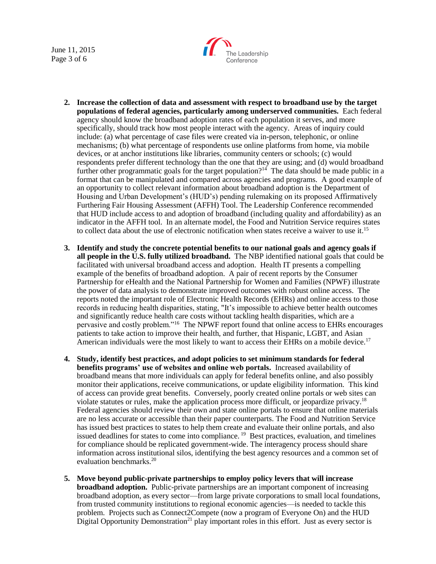June 11, 2015 Page 3 of 6



- **2. Increase the collection of data and assessment with respect to broadband use by the target populations of federal agencies, particularly among underserved communities.** Each federal agency should know the broadband adoption rates of each population it serves, and more specifically, should track how most people interact with the agency. Areas of inquiry could include: (a) what percentage of case files were created via in-person, telephonic, or online mechanisms; (b) what percentage of respondents use online platforms from home, via mobile devices, or at anchor institutions like libraries, community centers or schools; (c) would respondents prefer different technology than the one that they are using; and (d) would broadband further other programmatic goals for the target population?<sup>14</sup> The data should be made public in a format that can be manipulated and compared across agencies and programs. A good example of an opportunity to collect relevant information about broadband adoption is the Department of Housing and Urban Development's (HUD's) pending rulemaking on its proposed Affirmatively Furthering Fair Housing Assessment (AFFH) Tool. The Leadership Conference recommended that HUD include access to and adoption of broadband (including quality and affordability) as an indicator in the AFFH tool. In an alternate model, the Food and Nutrition Service requires states to collect data about the use of electronic notification when states receive a waiver to use it.<sup>15</sup>
- **3. Identify and study the concrete potential benefits to our national goals and agency goals if all people in the U.S. fully utilized broadband.** The NBP identified national goals that could be facilitated with universal broadband access and adoption. Health IT presents a compelling example of the benefits of broadband adoption. A pair of recent reports by the Consumer Partnership for eHealth and the National Partnership for Women and Families (NPWF) illustrate the power of data analysis to demonstrate improved outcomes with robust online access. The reports noted the important role of Electronic Health Records (EHRs) and online access to those records in reducing health disparities, stating, "It's impossible to achieve better health outcomes and significantly reduce health care costs without tackling health disparities, which are a pervasive and costly problem."<sup>16</sup> The NPWF report found that online access to EHRs encourages patients to take action to improve their health, and further, that Hispanic, LGBT, and Asian American individuals were the most likely to want to access their EHRs on a mobile device.<sup>17</sup>
- **4. Study, identify best practices, and adopt policies to set minimum standards for federal benefits programs' use of websites and online web portals.** Increased availability of broadband means that more individuals can apply for federal benefits online, and also possibly monitor their applications, receive communications, or update eligibility information. This kind of access can provide great benefits. Conversely, poorly created online portals or web sites can violate statutes or rules, make the application process more difficult, or jeopardize privacy.<sup>18</sup> Federal agencies should review their own and state online portals to ensure that online materials are no less accurate or accessible than their paper counterparts. The Food and Nutrition Service has issued best practices to states to help them create and evaluate their online portals, and also issued deadlines for states to come into compliance.<sup>19</sup> Best practices, evaluation, and timelines for compliance should be replicated government-wide. The interagency process should share information across institutional silos, identifying the best agency resources and a common set of evaluation benchmarks.<sup>20</sup>
- **5. Move beyond public-private partnerships to employ policy levers that will increase broadband adoption.** Public-private partnerships are an important component of increasing broadband adoption, as every sector—from large private corporations to small local foundations, from trusted community institutions to regional economic agencies—is needed to tackle this problem. Projects such as Connect2Compete (now a program of Everyone On) and the HUD Digital Opportunity Demonstration<sup>21</sup> play important roles in this effort. Just as every sector is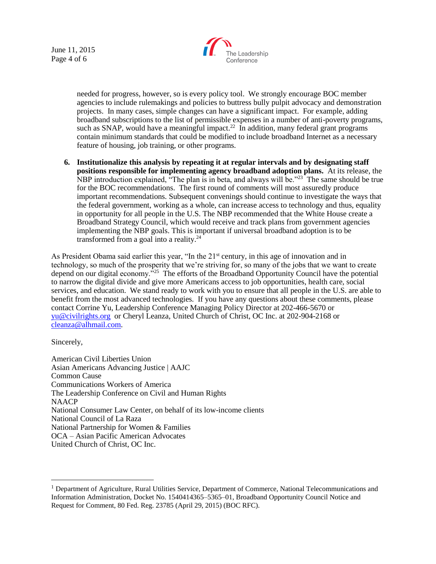June 11, 2015 Page 4 of 6



needed for progress, however, so is every policy tool. We strongly encourage BOC member agencies to include rulemakings and policies to buttress bully pulpit advocacy and demonstration projects. In many cases, simple changes can have a significant impact. For example, adding broadband subscriptions to the list of permissible expenses in a number of anti-poverty programs, such as SNAP, would have a meaningful impact.<sup>22</sup> In addition, many federal grant programs contain minimum standards that could be modified to include broadband Internet as a necessary feature of housing, job training, or other programs.

**6. Institutionalize this analysis by repeating it at regular intervals and by designating staff positions responsible for implementing agency broadband adoption plans.** At its release, the NBP introduction explained, "The plan is in beta, and always will be."<sup>23</sup> The same should be true for the BOC recommendations. The first round of comments will most assuredly produce important recommendations. Subsequent convenings should continue to investigate the ways that the federal government, working as a whole, can increase access to technology and thus, equality in opportunity for all people in the U.S. The NBP recommended that the White House create a Broadband Strategy Council, which would receive and track plans from government agencies implementing the NBP goals. This is important if universal broadband adoption is to be transformed from a goal into a reality.<sup>24</sup>

As President Obama said earlier this year, "In the 21<sup>st</sup> century, in this age of innovation and in technology, so much of the prosperity that we're striving for, so many of the jobs that we want to create depend on our digital economy.<sup>725</sup> The efforts of the Broadband Opportunity Council have the potential to narrow the digital divide and give more Americans access to job opportunities, health care, social services, and education. We stand ready to work with you to ensure that all people in the U.S. are able to benefit from the most advanced technologies. If you have any questions about these comments, please contact Corrine Yu, Leadership Conference Managing Policy Director at 202-466-5670 or [yu@civilrights.org](mailto:yu@civilrights.org) or Cheryl Leanza, United Church of Christ, OC Inc. at 202-904-2168 or [cleanza@alhmail.com.](mailto:cleanza@alhmail.com)

Sincerely,

 $\overline{a}$ 

American Civil Liberties Union Asian Americans Advancing Justice | AAJC Common Cause Communications Workers of America The Leadership Conference on Civil and Human Rights NAACP National Consumer Law Center, on behalf of its low-income clients National Council of La Raza National Partnership for Women & Families OCA – Asian Pacific American Advocates United Church of Christ, OC Inc.

<sup>&</sup>lt;sup>1</sup> Department of Agriculture, Rural Utilities Service, Department of Commerce, National Telecommunications and Information Administration, Docket No. 1540414365–5365–01, Broadband Opportunity Council Notice and Request for Comment, 80 Fed. Reg. 23785 (April 29, 2015) (BOC RFC).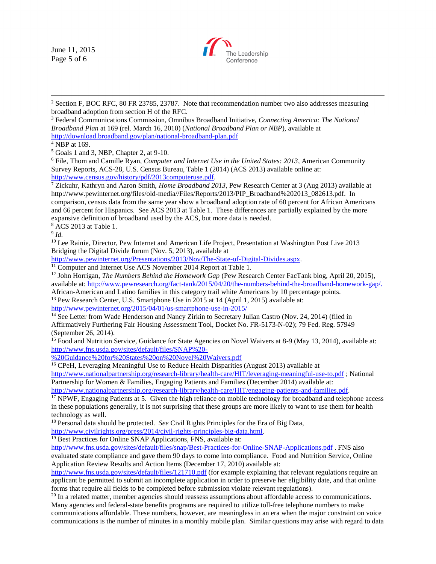June 11, 2015 Page 5 of 6



<sup>2</sup> Section F, BOC RFC, 80 FR 23785, 23787. Note that recommendation number two also addresses measuring broadband adoption from section H of the RFC.

<sup>3</sup> Federal Communications Commission, Omnibus Broadband Initiative, *Connecting America: The National Broadband Plan* at 169 (rel. March 16, 2010) (*National Broadband Plan or NBP*), available at <http://download.broadband.gov/plan/national-broadband-plan.pdf>

<sup>4</sup> NBP at 169.

 $\overline{a}$ 

<sup>5</sup> Goals 1 and 3, NBP, Chapter 2, at 9-10.

<sup>6</sup> File, Thom and Camille Ryan, *Computer and Internet Use in the United States: 2013*, American Community Survey Reports, ACS-28, U.S. Census Bureau, Table 1 (2014) (ACS 2013) available online at: [http://www.census.gov/history/pdf/2013computeruse.pdf.](http://www.census.gov/history/pdf/2013computeruse.pdf)

<sup>7</sup> Zickuhr, Kathryn and Aaron Smith, *Home Broadband 2013*, Pew Research Center at 3 (Aug 2013) available at http://www.pewinternet.org/files/old-media//Files/Reports/2013/PIP\_Broadband%202013\_082613.pdf. In comparison, census data from the same year show a broadband adoption rate of 60 percent for African Americans and 66 percent for Hispanics. See ACS 2013 at Table 1. These differences are partially explained by the more expansive definition of broadband used by the ACS, but more data is needed. <sup>8</sup> ACS 2013 at Table 1.

9 *Id.*

<sup>10</sup> Lee Rainie, Director, Pew Internet and American Life Project, Presentation at Washington Post Live 2013 Bridging the Digital Divide forum (Nov. 5, 2013), available at

[http://www.pewinternet.org/Presentations/2013/Nov/The-State-of-Digital-Divides.aspx.](http://www.pewinternet.org/Presentations/2013/Nov/The-State-of-Digital-Divides.aspx)

<sup>11</sup> Computer and Internet Use ACS November 2014 Report at Table 1.

<sup>12</sup> John Horrigan, *The Numbers Behind the Homework Gap* (Pew Research Center FacTank blog, April 20, 2015), available at: [http://www.pewresearch.org/fact-tank/2015/04/20/the-numbers-behind-the-broadband-homework-gap/.](http://www.pewresearch.org/fact-tank/2015/04/20/the-numbers-behind-the-broadband-homework-gap/) African-American and Latino families in this category trail white Americans by 10 percentage points.

<sup>13</sup> Pew Research Center, U.S. Smartphone Use in 2015 at 14 (April 1, 2015) available at:

<http://www.pewinternet.org/2015/04/01/us-smartphone-use-in-2015/>

<sup>14</sup> See Letter from Wade Henderson and Nancy Zirkin to Secretary Julian Castro (Nov. 24, 2014) (filed in Affirmatively Furthering Fair Housing Assessment Tool, Docket No. FR-5173-N-02); 79 Fed. Reg. 57949 (September 26, 2014).

<sup>15</sup> Food and Nutrition Service, Guidance for State Agencies on Novel Waivers at 8-9 (May 13, 2014), available at: [http://www.fns.usda.gov/sites/default/files/SNAP%20-](http://www.fns.usda.gov/sites/default/files/SNAP%20-%20Guidance%20for%20States%20on%20Novel%20Waivers.pdf)

[%20Guidance%20for%20States%20on%20Novel%20Waivers.pdf](http://www.fns.usda.gov/sites/default/files/SNAP%20-%20Guidance%20for%20States%20on%20Novel%20Waivers.pdf)

<sup>16</sup> CPeH, Leveraging Meaningful Use to Reduce Health Disparities (August 2013) available at

<http://www.nationalpartnership.org/research-library/health-care/HIT/leveraging-meaningful-use-to.pdf> ; National Partnership for Women & Families, Engaging Patients and Families (December 2014) available at:

[http://www.nationalpartnership.org/research-library/health-care/HIT/engaging-patients-and-families.pdf.](http://www.nationalpartnership.org/research-library/health-care/HIT/engaging-patients-and-families.pdf)

<sup>17</sup> NPWF, Engaging Patients at 5. Given the high reliance on mobile technology for broadband and telephone access in these populations generally, it is not surprising that these groups are more likely to want to use them for health technology as well.

<sup>18</sup> Personal data should be protected. *See* Civil Rights Principles for the Era of Big Data,

[http://www.civilrights.org/press/2014/civil-rights-principles-big-data.html.](http://www.civilrights.org/press/2014/civil-rights-principles-big-data.html)

<sup>19</sup> Best Practices for Online SNAP Applications, FNS, available at:

<http://www.fns.usda.gov/sites/default/files/snap/Best-Practices-for-Online-SNAP-Applications.pdf> . FNS also evaluated state compliance and gave them 90 days to come into compliance. Food and Nutrition Service, Online Application Review Results and Action Items (December 17, 2010) available at:

<http://www.fns.usda.gov/sites/default/files/121710.pdf> (for example explaining that relevant regulations require an applicant be permitted to submit an incomplete application in order to preserve her eligibility date, and that online forms that require all fields to be completed before submission violate relevant regulations).

<sup>20</sup> In a related matter, member agencies should reassess assumptions about affordable access to communications. Many agencies and federal-state benefits programs are required to utilize toll-free telephone numbers to make communications affordable. These numbers, however, are meaningless in an era when the major constraint on voice communications is the number of minutes in a monthly mobile plan. Similar questions may arise with regard to data